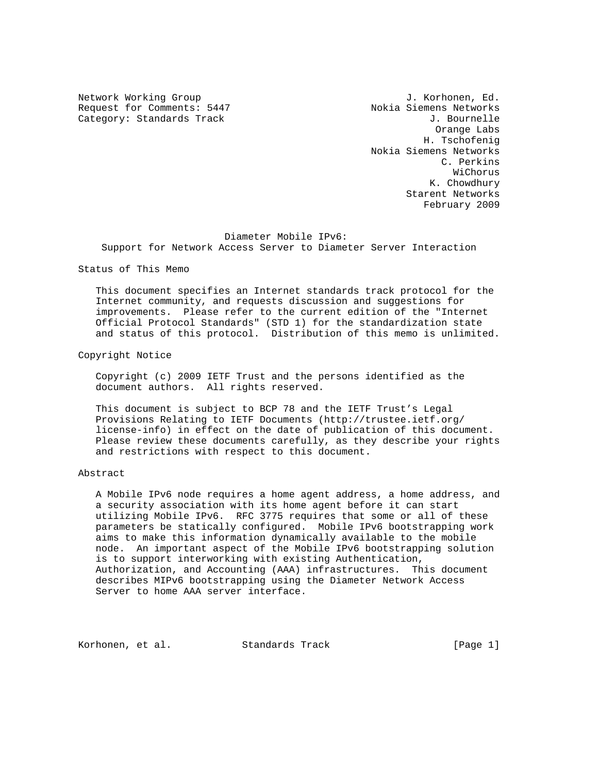Request for Comments: 5447 Nokia Siemens Networks Category: Standards Track J. Bournelle

Network Working Group and Alexander Month J. Korhonen, Ed. Orange Labs H. Tschofenig Nokia Siemens Networks C. Perkins WiChorus K. Chowdhury Starent Networks February 2009

#### Diameter Mobile IPv6:

Support for Network Access Server to Diameter Server Interaction

Status of This Memo

 This document specifies an Internet standards track protocol for the Internet community, and requests discussion and suggestions for improvements. Please refer to the current edition of the "Internet Official Protocol Standards" (STD 1) for the standardization state and status of this protocol. Distribution of this memo is unlimited.

Copyright Notice

 Copyright (c) 2009 IETF Trust and the persons identified as the document authors. All rights reserved.

 This document is subject to BCP 78 and the IETF Trust's Legal Provisions Relating to IETF Documents (http://trustee.ietf.org/ license-info) in effect on the date of publication of this document. Please review these documents carefully, as they describe your rights and restrictions with respect to this document.

# Abstract

 A Mobile IPv6 node requires a home agent address, a home address, and a security association with its home agent before it can start utilizing Mobile IPv6. RFC 3775 requires that some or all of these parameters be statically configured. Mobile IPv6 bootstrapping work aims to make this information dynamically available to the mobile node. An important aspect of the Mobile IPv6 bootstrapping solution is to support interworking with existing Authentication, Authorization, and Accounting (AAA) infrastructures. This document describes MIPv6 bootstrapping using the Diameter Network Access Server to home AAA server interface.

Korhonen, et al. Standards Track [Page 1]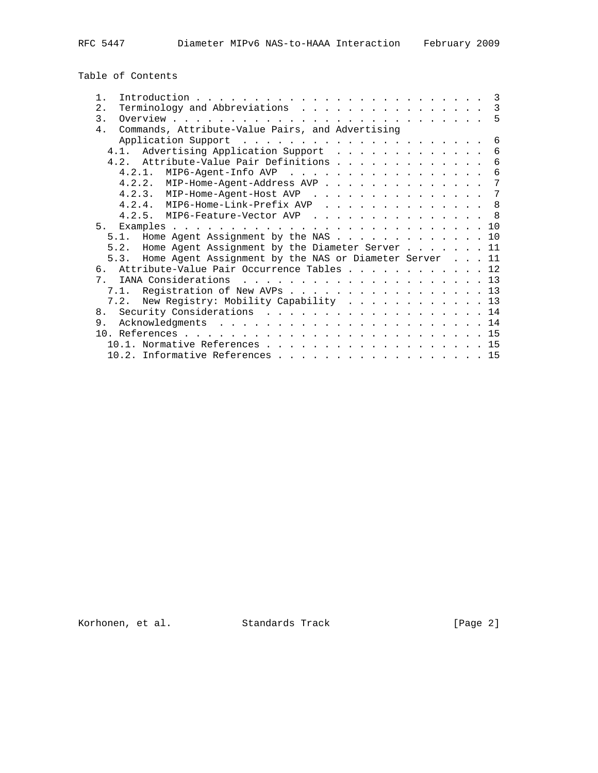Table of Contents

| $1$ .          |                                                                                                                                                                                                                                              |  |  |  | 3          |
|----------------|----------------------------------------------------------------------------------------------------------------------------------------------------------------------------------------------------------------------------------------------|--|--|--|------------|
| $2$ .          | Terminology and Abbreviations                                                                                                                                                                                                                |  |  |  | 3          |
| $\mathcal{E}$  |                                                                                                                                                                                                                                              |  |  |  | - 5        |
| 4.             | Commands, Attribute-Value Pairs, and Advertising                                                                                                                                                                                             |  |  |  |            |
|                |                                                                                                                                                                                                                                              |  |  |  | 6          |
|                | Advertising Application Support<br>4.1.                                                                                                                                                                                                      |  |  |  | 6          |
|                | 4.2. Attribute-Value Pair Definitions                                                                                                                                                                                                        |  |  |  | 6          |
|                | MIP6-Agent-Info AVP<br>4.2.1.                                                                                                                                                                                                                |  |  |  | 6          |
|                | $4.2.2.$ MIP-Home-Agent-Address AVP                                                                                                                                                                                                          |  |  |  | 7          |
|                | 4.2.3. MIP-Home-Agent-Host AVP                                                                                                                                                                                                               |  |  |  | 7          |
|                | $4.2.4.$ MIP6-Home-Link-Prefix AVP                                                                                                                                                                                                           |  |  |  | $_{\rm 8}$ |
|                | 4.2.5. MIP6-Feature-Vector AVP                                                                                                                                                                                                               |  |  |  | 8          |
| 5 <sub>1</sub> | Examples .<br>the contract of the contract of the contract of the contract of the contract of the contract of the contract of the contract of the contract of the contract of the contract of the contract of the contract of the contract o |  |  |  | 10         |
|                | Home Agent Assignment by the NAS<br>5.1.                                                                                                                                                                                                     |  |  |  | 10         |
|                | 5.2. Home Agent Assignment by the Diameter Server 11                                                                                                                                                                                         |  |  |  |            |
|                | 5.3. Home Agent Assignment by the NAS or Diameter Server 11                                                                                                                                                                                  |  |  |  |            |
|                | 6. Attribute-Value Pair Occurrence Tables 12                                                                                                                                                                                                 |  |  |  |            |
| 7 <sub>1</sub> |                                                                                                                                                                                                                                              |  |  |  |            |
|                | 7.1. Registration of New AVPs 13                                                                                                                                                                                                             |  |  |  |            |
|                | New Registry: Mobility Capability 13<br>7.2.                                                                                                                                                                                                 |  |  |  |            |
| 8 <sub>1</sub> | Security Considerations 14                                                                                                                                                                                                                   |  |  |  |            |
| 9.             |                                                                                                                                                                                                                                              |  |  |  |            |
|                |                                                                                                                                                                                                                                              |  |  |  | 15         |
|                |                                                                                                                                                                                                                                              |  |  |  | 15         |
|                | 10.2. Informative References 15                                                                                                                                                                                                              |  |  |  |            |
|                |                                                                                                                                                                                                                                              |  |  |  |            |

Korhonen, et al. Standards Track [Page 2]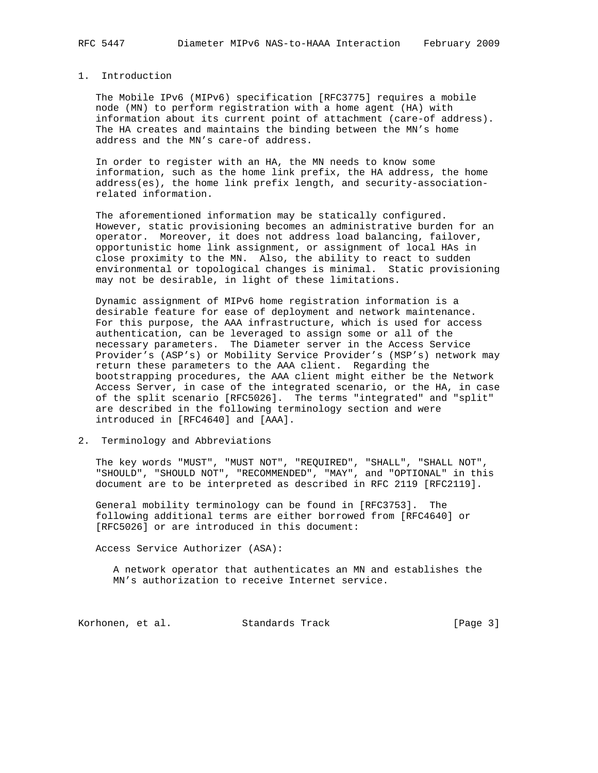# 1. Introduction

 The Mobile IPv6 (MIPv6) specification [RFC3775] requires a mobile node (MN) to perform registration with a home agent (HA) with information about its current point of attachment (care-of address). The HA creates and maintains the binding between the MN's home address and the MN's care-of address.

 In order to register with an HA, the MN needs to know some information, such as the home link prefix, the HA address, the home address(es), the home link prefix length, and security-association related information.

 The aforementioned information may be statically configured. However, static provisioning becomes an administrative burden for an operator. Moreover, it does not address load balancing, failover, opportunistic home link assignment, or assignment of local HAs in close proximity to the MN. Also, the ability to react to sudden environmental or topological changes is minimal. Static provisioning may not be desirable, in light of these limitations.

 Dynamic assignment of MIPv6 home registration information is a desirable feature for ease of deployment and network maintenance. For this purpose, the AAA infrastructure, which is used for access authentication, can be leveraged to assign some or all of the necessary parameters. The Diameter server in the Access Service Provider's (ASP's) or Mobility Service Provider's (MSP's) network may return these parameters to the AAA client. Regarding the bootstrapping procedures, the AAA client might either be the Network Access Server, in case of the integrated scenario, or the HA, in case of the split scenario [RFC5026]. The terms "integrated" and "split" are described in the following terminology section and were introduced in [RFC4640] and [AAA].

### 2. Terminology and Abbreviations

 The key words "MUST", "MUST NOT", "REQUIRED", "SHALL", "SHALL NOT", "SHOULD", "SHOULD NOT", "RECOMMENDED", "MAY", and "OPTIONAL" in this document are to be interpreted as described in RFC 2119 [RFC2119].

 General mobility terminology can be found in [RFC3753]. The following additional terms are either borrowed from [RFC4640] or [RFC5026] or are introduced in this document:

Access Service Authorizer (ASA):

 A network operator that authenticates an MN and establishes the MN's authorization to receive Internet service.

Korhonen, et al. Standards Track [Page 3]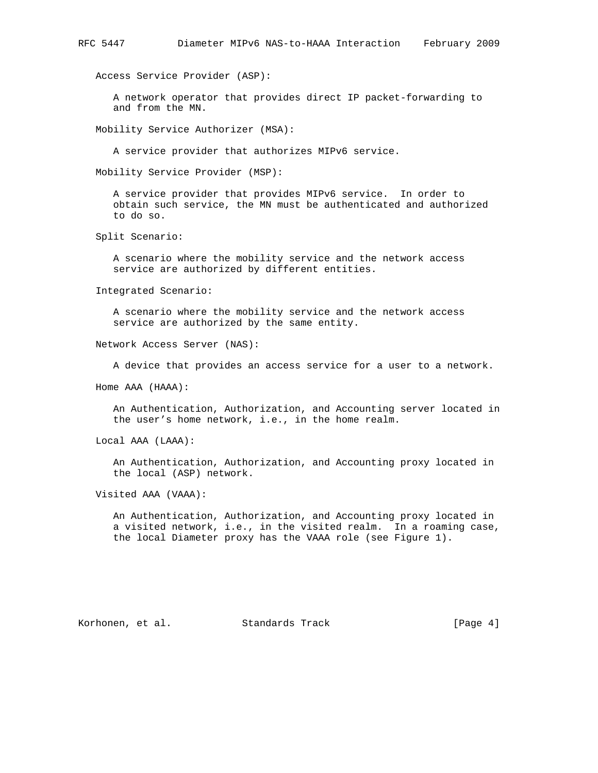Access Service Provider (ASP):

 A network operator that provides direct IP packet-forwarding to and from the MN.

Mobility Service Authorizer (MSA):

A service provider that authorizes MIPv6 service.

Mobility Service Provider (MSP):

 A service provider that provides MIPv6 service. In order to obtain such service, the MN must be authenticated and authorized to do so.

Split Scenario:

 A scenario where the mobility service and the network access service are authorized by different entities.

Integrated Scenario:

 A scenario where the mobility service and the network access service are authorized by the same entity.

Network Access Server (NAS):

A device that provides an access service for a user to a network.

Home AAA (HAAA):

 An Authentication, Authorization, and Accounting server located in the user's home network, i.e., in the home realm.

Local AAA (LAAA):

 An Authentication, Authorization, and Accounting proxy located in the local (ASP) network.

Visited AAA (VAAA):

 An Authentication, Authorization, and Accounting proxy located in a visited network, i.e., in the visited realm. In a roaming case, the local Diameter proxy has the VAAA role (see Figure 1).

Korhonen, et al. Standards Track [Page 4]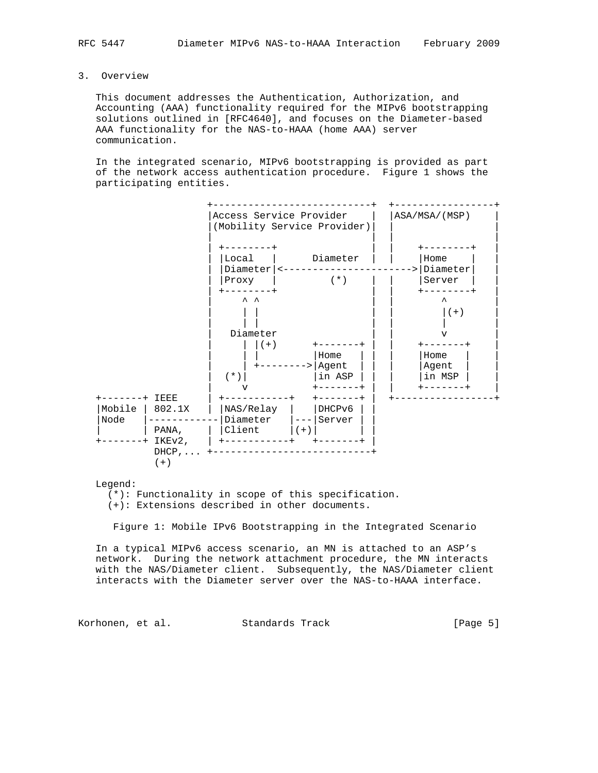3. Overview

 This document addresses the Authentication, Authorization, and Accounting (AAA) functionality required for the MIPv6 bootstrapping solutions outlined in [RFC4640], and focuses on the Diameter-based AAA functionality for the NAS-to-HAAA (home AAA) server communication.

 In the integrated scenario, MIPv6 bootstrapping is provided as part of the network access authentication procedure. Figure 1 shows the participating entities.



Legend:

(\*): Functionality in scope of this specification.

(+): Extensions described in other documents.

Figure 1: Mobile IPv6 Bootstrapping in the Integrated Scenario

 In a typical MIPv6 access scenario, an MN is attached to an ASP's network. During the network attachment procedure, the MN interacts with the NAS/Diameter client. Subsequently, the NAS/Diameter client interacts with the Diameter server over the NAS-to-HAAA interface.

Korhonen, et al. Standards Track (Page 5)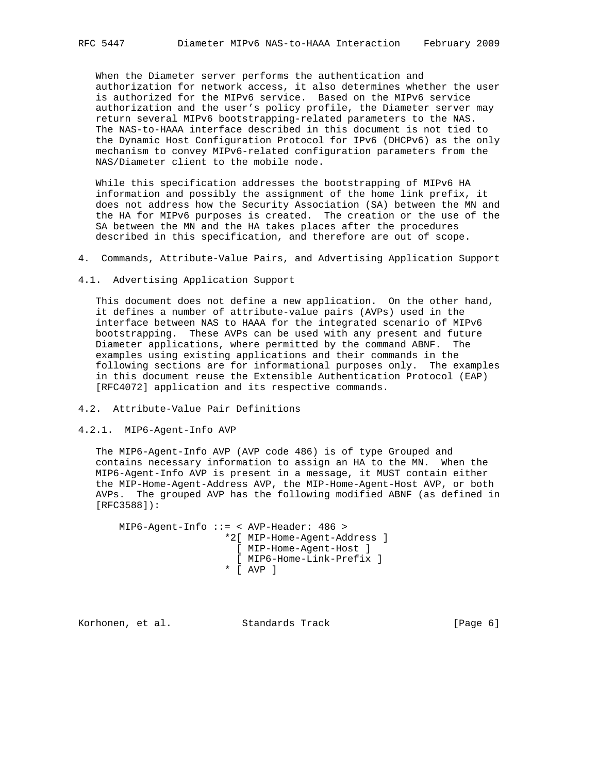When the Diameter server performs the authentication and authorization for network access, it also determines whether the user is authorized for the MIPv6 service. Based on the MIPv6 service authorization and the user's policy profile, the Diameter server may return several MIPv6 bootstrapping-related parameters to the NAS. The NAS-to-HAAA interface described in this document is not tied to the Dynamic Host Configuration Protocol for IPv6 (DHCPv6) as the only mechanism to convey MIPv6-related configuration parameters from the NAS/Diameter client to the mobile node.

 While this specification addresses the bootstrapping of MIPv6 HA information and possibly the assignment of the home link prefix, it does not address how the Security Association (SA) between the MN and the HA for MIPv6 purposes is created. The creation or the use of the SA between the MN and the HA takes places after the procedures described in this specification, and therefore are out of scope.

- 4. Commands, Attribute-Value Pairs, and Advertising Application Support
- 4.1. Advertising Application Support

 This document does not define a new application. On the other hand, it defines a number of attribute-value pairs (AVPs) used in the interface between NAS to HAAA for the integrated scenario of MIPv6 bootstrapping. These AVPs can be used with any present and future Diameter applications, where permitted by the command ABNF. The examples using existing applications and their commands in the following sections are for informational purposes only. The examples in this document reuse the Extensible Authentication Protocol (EAP) [RFC4072] application and its respective commands.

- 4.2. Attribute-Value Pair Definitions
- 4.2.1. MIP6-Agent-Info AVP

 The MIP6-Agent-Info AVP (AVP code 486) is of type Grouped and contains necessary information to assign an HA to the MN. When the MIP6-Agent-Info AVP is present in a message, it MUST contain either the MIP-Home-Agent-Address AVP, the MIP-Home-Agent-Host AVP, or both AVPs. The grouped AVP has the following modified ABNF (as defined in [RFC3588]):

 MIP6-Agent-Info ::= < AVP-Header: 486 > \*2[ MIP-Home-Agent-Address ] [ MIP-Home-Agent-Host ] [ MIP6-Home-Link-Prefix ] \* [ AVP ]

Korhonen, et al. Standards Track [Page 6]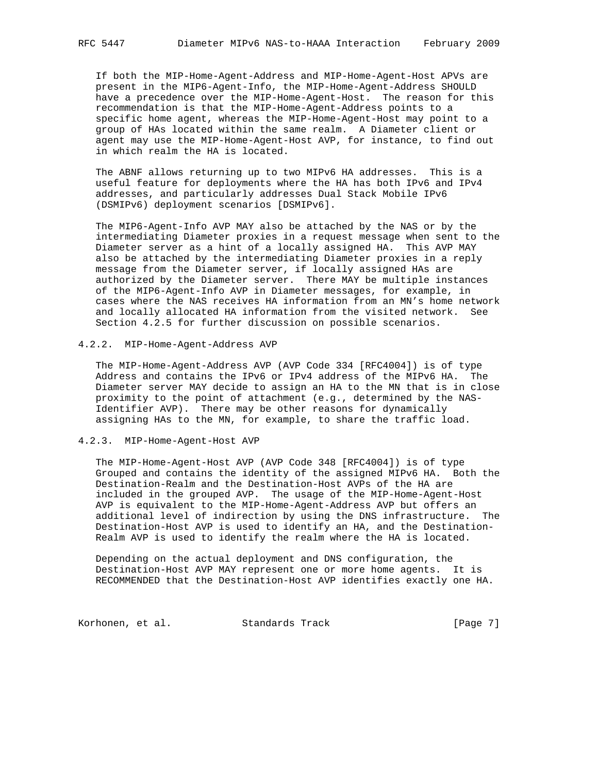If both the MIP-Home-Agent-Address and MIP-Home-Agent-Host APVs are present in the MIP6-Agent-Info, the MIP-Home-Agent-Address SHOULD have a precedence over the MIP-Home-Agent-Host. The reason for this recommendation is that the MIP-Home-Agent-Address points to a specific home agent, whereas the MIP-Home-Agent-Host may point to a group of HAs located within the same realm. A Diameter client or agent may use the MIP-Home-Agent-Host AVP, for instance, to find out in which realm the HA is located.

 The ABNF allows returning up to two MIPv6 HA addresses. This is a useful feature for deployments where the HA has both IPv6 and IPv4 addresses, and particularly addresses Dual Stack Mobile IPv6 (DSMIPv6) deployment scenarios [DSMIPv6].

 The MIP6-Agent-Info AVP MAY also be attached by the NAS or by the intermediating Diameter proxies in a request message when sent to the Diameter server as a hint of a locally assigned HA. This AVP MAY also be attached by the intermediating Diameter proxies in a reply message from the Diameter server, if locally assigned HAs are authorized by the Diameter server. There MAY be multiple instances of the MIP6-Agent-Info AVP in Diameter messages, for example, in cases where the NAS receives HA information from an MN's home network and locally allocated HA information from the visited network. See Section 4.2.5 for further discussion on possible scenarios.

#### 4.2.2. MIP-Home-Agent-Address AVP

 The MIP-Home-Agent-Address AVP (AVP Code 334 [RFC4004]) is of type Address and contains the IPv6 or IPv4 address of the MIPv6 HA. The Diameter server MAY decide to assign an HA to the MN that is in close proximity to the point of attachment (e.g., determined by the NAS- Identifier AVP). There may be other reasons for dynamically assigning HAs to the MN, for example, to share the traffic load.

### 4.2.3. MIP-Home-Agent-Host AVP

 The MIP-Home-Agent-Host AVP (AVP Code 348 [RFC4004]) is of type Grouped and contains the identity of the assigned MIPv6 HA. Both the Destination-Realm and the Destination-Host AVPs of the HA are included in the grouped AVP. The usage of the MIP-Home-Agent-Host AVP is equivalent to the MIP-Home-Agent-Address AVP but offers an additional level of indirection by using the DNS infrastructure. The Destination-Host AVP is used to identify an HA, and the Destination- Realm AVP is used to identify the realm where the HA is located.

 Depending on the actual deployment and DNS configuration, the Destination-Host AVP MAY represent one or more home agents. It is RECOMMENDED that the Destination-Host AVP identifies exactly one HA.

Korhonen, et al. Standards Track [Page 7]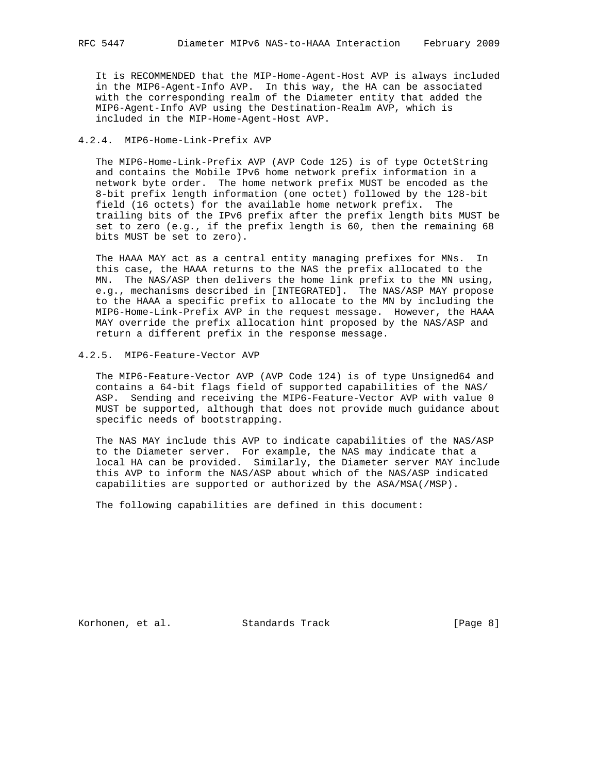It is RECOMMENDED that the MIP-Home-Agent-Host AVP is always included in the MIP6-Agent-Info AVP. In this way, the HA can be associated with the corresponding realm of the Diameter entity that added the MIP6-Agent-Info AVP using the Destination-Realm AVP, which is included in the MIP-Home-Agent-Host AVP.

# 4.2.4. MIP6-Home-Link-Prefix AVP

 The MIP6-Home-Link-Prefix AVP (AVP Code 125) is of type OctetString and contains the Mobile IPv6 home network prefix information in a network byte order. The home network prefix MUST be encoded as the 8-bit prefix length information (one octet) followed by the 128-bit field (16 octets) for the available home network prefix. The trailing bits of the IPv6 prefix after the prefix length bits MUST be set to zero (e.g., if the prefix length is 60, then the remaining 68 bits MUST be set to zero).

 The HAAA MAY act as a central entity managing prefixes for MNs. In this case, the HAAA returns to the NAS the prefix allocated to the MN. The NAS/ASP then delivers the home link prefix to the MN using, e.g., mechanisms described in [INTEGRATED]. The NAS/ASP MAY propose to the HAAA a specific prefix to allocate to the MN by including the MIP6-Home-Link-Prefix AVP in the request message. However, the HAAA MAY override the prefix allocation hint proposed by the NAS/ASP and return a different prefix in the response message.

# 4.2.5. MIP6-Feature-Vector AVP

 The MIP6-Feature-Vector AVP (AVP Code 124) is of type Unsigned64 and contains a 64-bit flags field of supported capabilities of the NAS/ ASP. Sending and receiving the MIP6-Feature-Vector AVP with value 0 MUST be supported, although that does not provide much guidance about specific needs of bootstrapping.

 The NAS MAY include this AVP to indicate capabilities of the NAS/ASP to the Diameter server. For example, the NAS may indicate that a local HA can be provided. Similarly, the Diameter server MAY include this AVP to inform the NAS/ASP about which of the NAS/ASP indicated capabilities are supported or authorized by the ASA/MSA(/MSP).

The following capabilities are defined in this document:

Korhonen, et al. Standards Track [Page 8]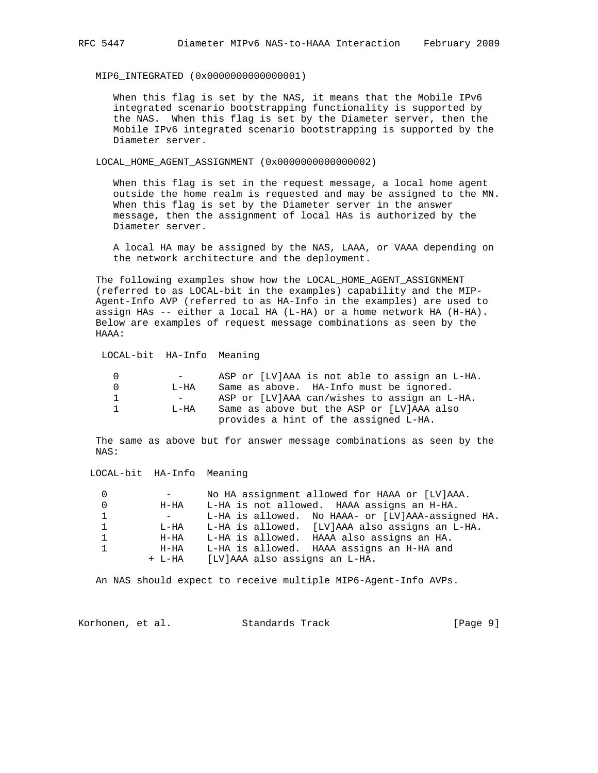MIP6\_INTEGRATED (0x0000000000000001)

 When this flag is set by the NAS, it means that the Mobile IPv6 integrated scenario bootstrapping functionality is supported by the NAS. When this flag is set by the Diameter server, then the Mobile IPv6 integrated scenario bootstrapping is supported by the Diameter server.

LOCAL\_HOME\_AGENT\_ASSIGNMENT (0x0000000000000002)

 When this flag is set in the request message, a local home agent outside the home realm is requested and may be assigned to the MN. When this flag is set by the Diameter server in the answer message, then the assignment of local HAs is authorized by the Diameter server.

 A local HA may be assigned by the NAS, LAAA, or VAAA depending on the network architecture and the deployment.

 The following examples show how the LOCAL\_HOME\_AGENT\_ASSIGNMENT (referred to as LOCAL-bit in the examples) capability and the MIP- Agent-Info AVP (referred to as HA-Info in the examples) are used to assign HAs -- either a local HA (L-HA) or a home network HA (H-HA). Below are examples of request message combinations as seen by the HAAA:

# LOCAL-bit HA-Info Meaning

|                | $\sim$ 100 $\sim$ | ASP or [LV]AAA is not able to assign an L-HA. |
|----------------|-------------------|-----------------------------------------------|
| $\bigcap$      | T.—HA             | Same as above. HA-Info must be ignored.       |
| $\mathbf{1}$   | $\sim$ 100 $\sim$ | ASP or [LV]AAA can/wishes to assign an L-HA.  |
| $\overline{1}$ | T.-HA             | Same as above but the ASP or [LV]AAA also     |
|                |                   | provides a hint of the assigned L-HA.         |

 The same as above but for answer message combinations as seen by the NAS:

# LOCAL-bit HA-Info Meaning

| 0            |      | No HA assignment allowed for HAAA or [LV]AAA.     |
|--------------|------|---------------------------------------------------|
| $\Omega$     | H-HA | L-HA is not allowed. HAAA assigns an H-HA.        |
| $\mathbf{1}$ |      | L-HA is allowed. No HAAA- or [LV]AAA-assigned HA. |
| $\mathbf{1}$ | L-HA | L-HA is allowed. [LV]AAA also assigns an L-HA.    |
| 1            | H-HA | L-HA is allowed. HAAA also assigns an HA.         |
| $\mathbf{1}$ | H-HA | L-HA is allowed. HAAA assigns an H-HA and         |
|              |      | + L-HA [LV]AAA also assigns an L-HA.              |

An NAS should expect to receive multiple MIP6-Agent-Info AVPs.

| Korhonen, et al.<br>Standards Track | [Page 9] |
|-------------------------------------|----------|
|-------------------------------------|----------|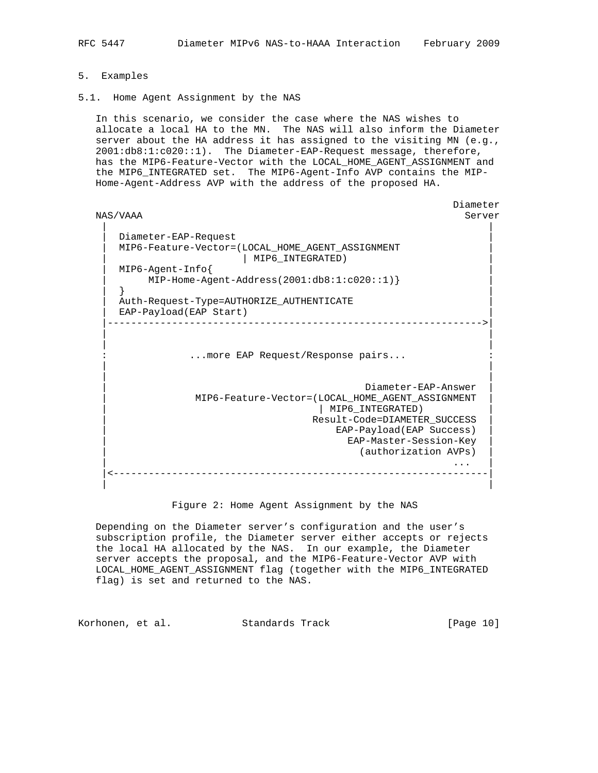- 5. Examples
- 5.1. Home Agent Assignment by the NAS

 In this scenario, we consider the case where the NAS wishes to allocate a local HA to the MN. The NAS will also inform the Diameter server about the HA address it has assigned to the visiting MN (e.g., 2001:db8:1:c020::1). The Diameter-EAP-Request message, therefore, has the MIP6-Feature-Vector with the LOCAL\_HOME\_AGENT\_ASSIGNMENT and the MIP6\_INTEGRATED set. The MIP6-Agent-Info AVP contains the MIP- Home-Agent-Address AVP with the address of the proposed HA.

```
 Diameter
  NAS/VAAA Server
 | |
     | Diameter-EAP-Request |
     | MIP6-Feature-Vector=(LOCAL_HOME_AGENT_ASSIGNMENT |
             | MIP6_INTEGRATED)
    | MIP6-Agent-Info{ |
       | MIP-Home-Agent-Address(2001:db8:1:c020::1)} |
 | } |
    | Auth-Request-Type=AUTHORIZE_AUTHENTICATE |
   EAP-Payload(EAP Start)
      |---------------------------------------------------------------->|
 | |
 | |
           ... more EAP Request/Response pairs...
 | |
 | |
                               | Diameter-EAP-Answer |
             | MIP6-Feature-Vector=(LOCAL_HOME_AGENT_ASSIGNMENT |
                        | MIP6_INTEGRATED)
                         | Result-Code=DIAMETER_SUCCESS |
                          EAP-Payload(EAP Success)
                            | EAP-Master-Session-Key |
                            (authorization AVPs)
| ... | ... | ... | ... | ... | ... | ... | ... | ... | ... | ... | ... | ... | ... | ... | ... | ... | ... | 
    |<----------------------------------------------------------------|
 | |
```
Figure 2: Home Agent Assignment by the NAS

 Depending on the Diameter server's configuration and the user's subscription profile, the Diameter server either accepts or rejects the local HA allocated by the NAS. In our example, the Diameter server accepts the proposal, and the MIP6-Feature-Vector AVP with LOCAL\_HOME\_AGENT\_ASSIGNMENT flag (together with the MIP6\_INTEGRATED flag) is set and returned to the NAS.

Korhonen, et al. Standards Track [Page 10]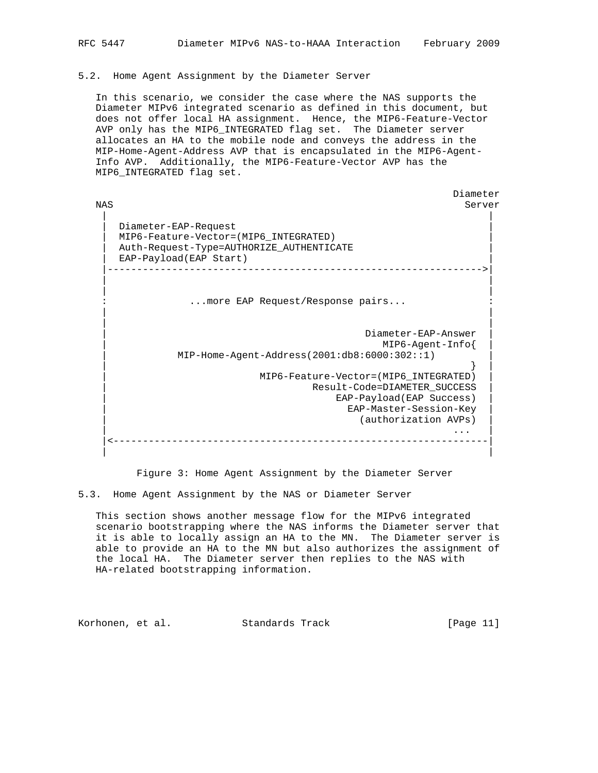# 5.2. Home Agent Assignment by the Diameter Server

 In this scenario, we consider the case where the NAS supports the Diameter MIPv6 integrated scenario as defined in this document, but does not offer local HA assignment. Hence, the MIP6-Feature-Vector AVP only has the MIP6\_INTEGRATED flag set. The Diameter server allocates an HA to the mobile node and conveys the address in the MIP-Home-Agent-Address AVP that is encapsulated in the MIP6-Agent- Info AVP. Additionally, the MIP6-Feature-Vector AVP has the MIP6\_INTEGRATED flag set.

 Diameter NAS Server | | | Diameter-EAP-Request | | MIP6-Feature-Vector=(MIP6\_INTEGRATED) | | Auth-Request-Type=AUTHORIZE\_AUTHENTICATE | EAP-Payload(EAP Start) |---------------------------------------------------------------->| | | | | ... more EAP Request/Response pairs... | | | | | Diameter-EAP-Answer | | MIP6-Agent-Info{ | | MIP-Home-Agent-Address(2001:db8:6000:302::1) | | } | | MIP6-Feature-Vector=(MIP6\_INTEGRATED) | | Result-Code=DIAMETER\_SUCCESS | | EAP-Payload(EAP Success) | | EAP-Master-Session-Key | (authorization AVPs) | ... | ... | ... | ... | ... | ... | ... | ... | ... | ... | ... | ... | ... | ... | ... | ... | ... | ... | |<----------------------------------------------------------------| | |

Figure 3: Home Agent Assignment by the Diameter Server

5.3. Home Agent Assignment by the NAS or Diameter Server

 This section shows another message flow for the MIPv6 integrated scenario bootstrapping where the NAS informs the Diameter server that it is able to locally assign an HA to the MN. The Diameter server is able to provide an HA to the MN but also authorizes the assignment of the local HA. The Diameter server then replies to the NAS with HA-related bootstrapping information.

Korhonen, et al. Standards Track [Page 11]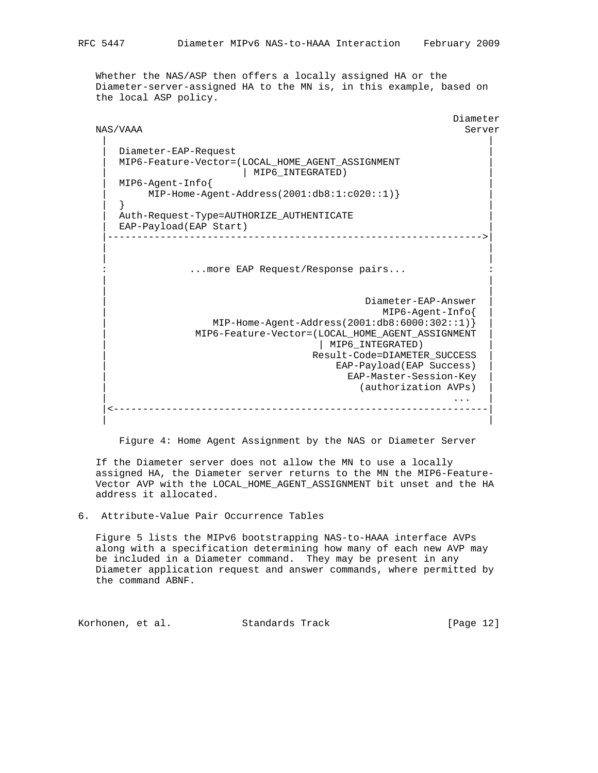Whether the NAS/ASP then offers a locally assigned HA or the Diameter-server-assigned HA to the MN is, in this example, based on the local ASP policy.

```
 Diameter
 NAS/VAAA Server
 | |
    Diameter-EAP-Request
     | MIP6-Feature-Vector=(LOCAL_HOME_AGENT_ASSIGNMENT |
               | MIP6_INTEGRATED)
    | MIP6-Agent-Info{ |
       | MIP-Home-Agent-Address(2001:db8:1:c020::1)} |
 | } |
     | Auth-Request-Type=AUTHORIZE_AUTHENTICATE |
   EAP-Payload(EAP Start)
    |---------------------------------------------------------------->|
 | |
 | |
  : ...more EAP Request/Response pairs...
 | |
 | |
                                | Diameter-EAP-Answer |
                                 | MIP6-Agent-Info{ |
               | MIP-Home-Agent-Address(2001:db8:6000:302::1)} |
             | MIP6-Feature-Vector=(LOCAL_HOME_AGENT_ASSIGNMENT |
                           | | MIP6_INTEGRATED) |
                          | Result-Code=DIAMETER_SUCCESS |
                            | EAP-Payload(EAP Success) |
                             | EAP-Master-Session-Key |
                             (authorization AVPs)
| ... | ... | ... | ... | ... | ... | ... | ... | ... | ... | ... | ... | ... | ... | ... | ... | ... | ... | 
    |<----------------------------------------------------------------|
 | |
```
Figure 4: Home Agent Assignment by the NAS or Diameter Server

 If the Diameter server does not allow the MN to use a locally assigned HA, the Diameter server returns to the MN the MIP6-Feature- Vector AVP with the LOCAL\_HOME\_AGENT\_ASSIGNMENT bit unset and the HA address it allocated.

6. Attribute-Value Pair Occurrence Tables

 Figure 5 lists the MIPv6 bootstrapping NAS-to-HAAA interface AVPs along with a specification determining how many of each new AVP may be included in a Diameter command. They may be present in any Diameter application request and answer commands, where permitted by the command ABNF.

Korhonen, et al. Standards Track [Page 12]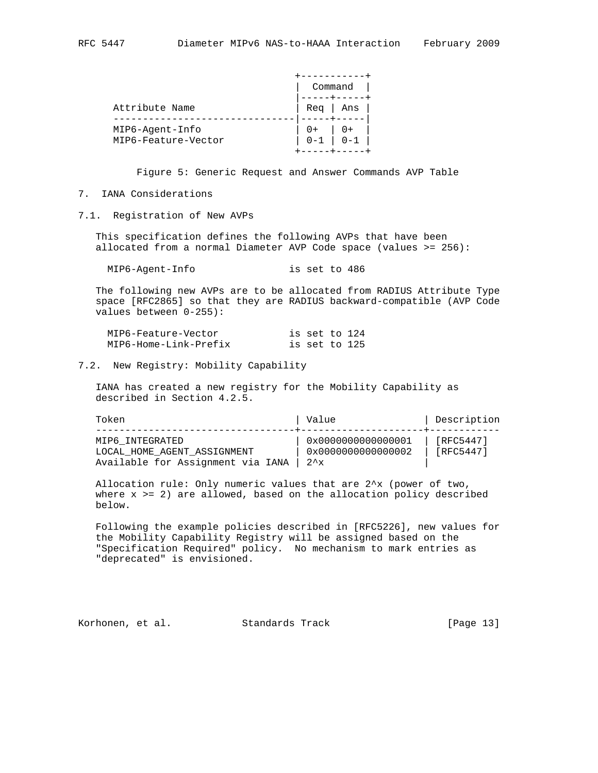|                                        | Command |                                                        |  |
|----------------------------------------|---------|--------------------------------------------------------|--|
| Attribute Name                         | Rea     | Ans                                                    |  |
| MIP6-Agent-Info<br>MIP6-Feature-Vector | $0 - 1$ | $\begin{array}{c} \mid & 0+ \\ \mid & 0-1 \end{array}$ |  |

Figure 5: Generic Request and Answer Commands AVP Table

# 7. IANA Considerations

7.1. Registration of New AVPs

 This specification defines the following AVPs that have been allocated from a normal Diameter AVP Code space (values >= 256):

MIP6-Agent-Info is set to 486

 The following new AVPs are to be allocated from RADIUS Attribute Type space [RFC2865] so that they are RADIUS backward-compatible (AVP Code values between 0-255):

| MIP6-Feature-Vector   | is set to 124 |  |
|-----------------------|---------------|--|
| MIP6-Home-Link-Prefix | is set to 125 |  |

#### 7.2. New Registry: Mobility Capability

 IANA has created a new registry for the Mobility Capability as described in Section 4.2.5.

| Token                                                                               | Value                                                      | Description            |
|-------------------------------------------------------------------------------------|------------------------------------------------------------|------------------------|
| MIP6 INTEGRATED<br>LOCAL HOME AGENT ASSIGNMENT<br>Available for Assignment via IANA | 0x0000000000000001<br>0x0000000000000002<br>$2^{\lambda}x$ | [RFC5447]<br>[RFC5447] |

 Allocation rule: Only numeric values that are 2^x (power of two, where  $x \geq 2$ ) are allowed, based on the allocation policy described below.

 Following the example policies described in [RFC5226], new values for the Mobility Capability Registry will be assigned based on the "Specification Required" policy. No mechanism to mark entries as "deprecated" is envisioned.

Korhonen, et al. Standards Track [Page 13]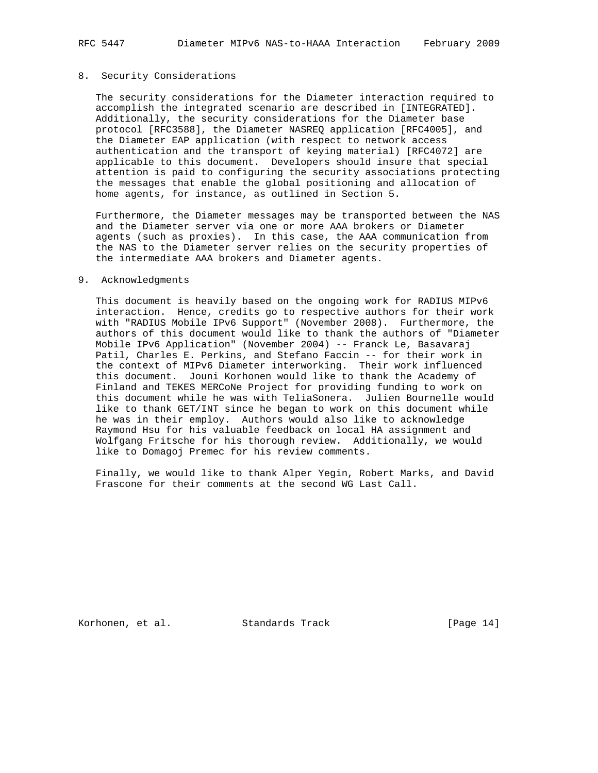### 8. Security Considerations

 The security considerations for the Diameter interaction required to accomplish the integrated scenario are described in [INTEGRATED]. Additionally, the security considerations for the Diameter base protocol [RFC3588], the Diameter NASREQ application [RFC4005], and the Diameter EAP application (with respect to network access authentication and the transport of keying material) [RFC4072] are applicable to this document. Developers should insure that special attention is paid to configuring the security associations protecting the messages that enable the global positioning and allocation of home agents, for instance, as outlined in Section 5.

 Furthermore, the Diameter messages may be transported between the NAS and the Diameter server via one or more AAA brokers or Diameter agents (such as proxies). In this case, the AAA communication from the NAS to the Diameter server relies on the security properties of the intermediate AAA brokers and Diameter agents.

#### 9. Acknowledgments

 This document is heavily based on the ongoing work for RADIUS MIPv6 interaction. Hence, credits go to respective authors for their work with "RADIUS Mobile IPv6 Support" (November 2008). Furthermore, the authors of this document would like to thank the authors of "Diameter Mobile IPv6 Application" (November 2004) -- Franck Le, Basavaraj Patil, Charles E. Perkins, and Stefano Faccin -- for their work in the context of MIPv6 Diameter interworking. Their work influenced this document. Jouni Korhonen would like to thank the Academy of Finland and TEKES MERCoNe Project for providing funding to work on this document while he was with TeliaSonera. Julien Bournelle would like to thank GET/INT since he began to work on this document while he was in their employ. Authors would also like to acknowledge Raymond Hsu for his valuable feedback on local HA assignment and Wolfgang Fritsche for his thorough review. Additionally, we would like to Domagoj Premec for his review comments.

 Finally, we would like to thank Alper Yegin, Robert Marks, and David Frascone for their comments at the second WG Last Call.

Korhonen, et al. Standards Track [Page 14]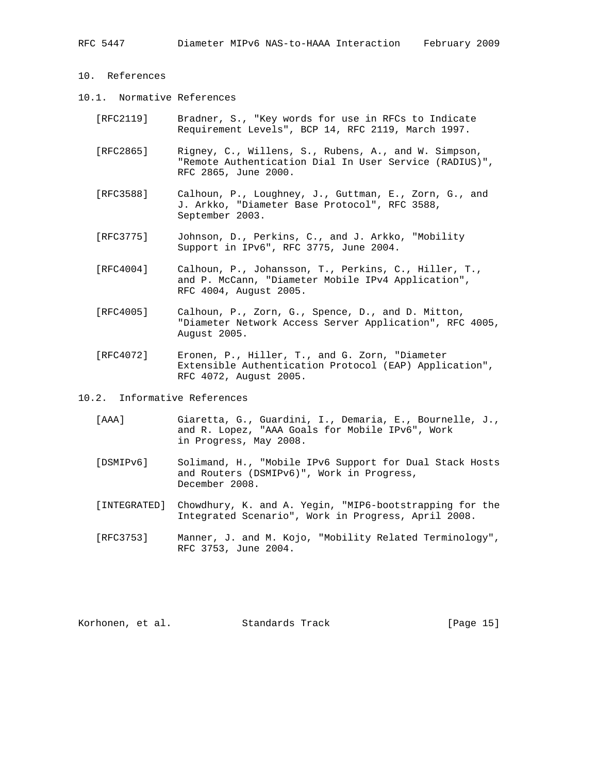# 10. References

- 10.1. Normative References
	- [RFC2119] Bradner, S., "Key words for use in RFCs to Indicate Requirement Levels", BCP 14, RFC 2119, March 1997.
	- [RFC2865] Rigney, C., Willens, S., Rubens, A., and W. Simpson, "Remote Authentication Dial In User Service (RADIUS)", RFC 2865, June 2000.
	- [RFC3588] Calhoun, P., Loughney, J., Guttman, E., Zorn, G., and J. Arkko, "Diameter Base Protocol", RFC 3588, September 2003.
	- [RFC3775] Johnson, D., Perkins, C., and J. Arkko, "Mobility Support in IPv6", RFC 3775, June 2004.
	- [RFC4004] Calhoun, P., Johansson, T., Perkins, C., Hiller, T., and P. McCann, "Diameter Mobile IPv4 Application", RFC 4004, August 2005.
	- [RFC4005] Calhoun, P., Zorn, G., Spence, D., and D. Mitton, "Diameter Network Access Server Application", RFC 4005, August 2005.
	- [RFC4072] Eronen, P., Hiller, T., and G. Zorn, "Diameter Extensible Authentication Protocol (EAP) Application", RFC 4072, August 2005.
- 10.2. Informative References
	- [AAA] Giaretta, G., Guardini, I., Demaria, E., Bournelle, J., and R. Lopez, "AAA Goals for Mobile IPv6", Work in Progress, May 2008.
	- [DSMIPv6] Solimand, H., "Mobile IPv6 Support for Dual Stack Hosts and Routers (DSMIPv6)", Work in Progress, December 2008.
	- [INTEGRATED] Chowdhury, K. and A. Yegin, "MIP6-bootstrapping for the Integrated Scenario", Work in Progress, April 2008.
	- [RFC3753] Manner, J. and M. Kojo, "Mobility Related Terminology", RFC 3753, June 2004.

| Korhonen, et al. |  | Standards Track | [Page 15] |  |  |
|------------------|--|-----------------|-----------|--|--|
|------------------|--|-----------------|-----------|--|--|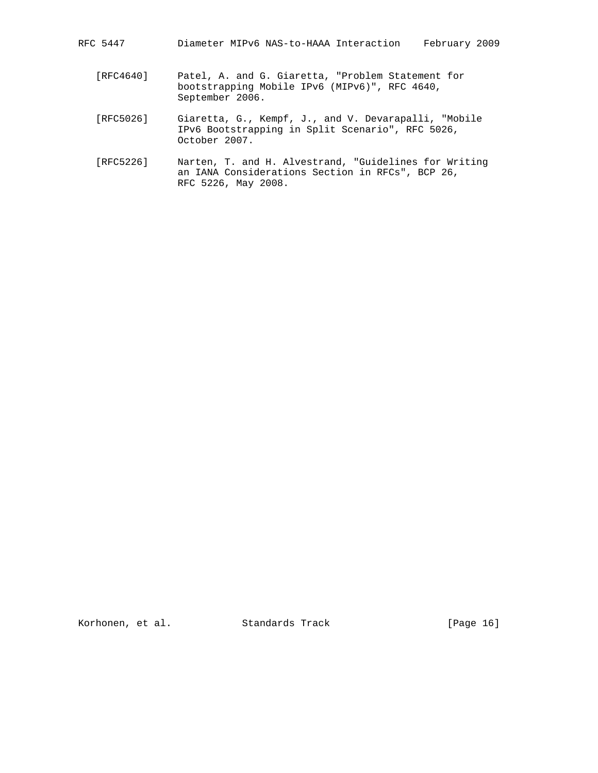| RFC 5447 |  |  |  | Diameter MIPv6 NAS-to-HAAA Interaction |  | February 2009 |  |
|----------|--|--|--|----------------------------------------|--|---------------|--|
|----------|--|--|--|----------------------------------------|--|---------------|--|

- [RFC4640] Patel, A. and G. Giaretta, "Problem Statement for bootstrapping Mobile IPv6 (MIPv6)", RFC 4640, September 2006.
- [RFC5026] Giaretta, G., Kempf, J., and V. Devarapalli, "Mobile IPv6 Bootstrapping in Split Scenario", RFC 5026, October 2007.
- [RFC5226] Narten, T. and H. Alvestrand, "Guidelines for Writing an IANA Considerations Section in RFCs", BCP 26, RFC 5226, May 2008.